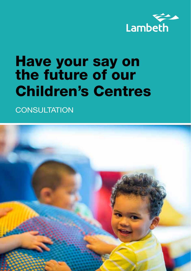

# Have your say on the future of our Children's Centres

**CONSULTATION** 

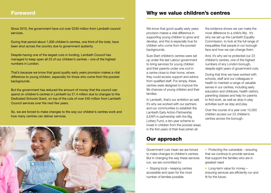## Foreword

Since 2010, the government have cut over £230 million from Lambeth council services.

During that period about 1,000 children's centres, one third of the total, have been shut across the country due to government austerity.

Despite having one of the largest cuts in funding, Lambeth Council has managed to keep open all 23 of our children's centres – one of the highest numbers in London.

That's because we know that good quality early years provision makes a vital difference to young children, especially for those who come from the poorest backgrounds.

But the government has reduced the amount of money that the council can spend on children's centres in Lambeth by £1.4 million due to changes to the Dedicated Schools Grant, on top of the cuts of over £40 million from Lambeth Council services over the next few years.

So, we are forced to make changes to the way our children's centres work and how many centres can deliver services.



# Why we value children's centres

We know that good-quality early years provision makes a vital difference in supporting young children to grow and develop, and this is especially true for children who come from the poorest backgrounds.

Sure Start children's centres were set up under the last Labour government to bring services for young children and their parents under one roof in a centre close to their home, where they could access support and advice from qualified staff. Put simply, these centres were designed to improve the life chances of young children and their families.

In Lambeth, that's our ambition as well. It's why we worked with our partners and our communities to establish the Lambeth Early Action Partnership (LEAP) in partnership with the Big Lottery Fund, a ten-year scheme to invest in children from the poorest areas in the first years of their lives (when all

# Our approach

Government cuts mean we are forced to make changes to children's centres. But in changing the way these services run, we are committed to:

• Staying local – keeping centres accessible and open for the most number of families possible.

the evidence shows we can make the most difference to a child's life). It's why we set up the Lambeth Equality Commission, to look at the full range of inequalities that people in our borough face and how we can change them.

And, it's why we've protected our 23 children's centres, one of the highest numbers of any London borough, despite eight years of government cuts.

During that time we have worked with schools, staff and our colleagues in health to maintain a range of valuable serves in our centres, including early education and childcare, health visitors, parenting classes and help for parents to find work, as well as drop in play activities such as stay and play.

Over the course of a year over 10,000 children access our 23 children's centres across the borough.

• Protecting the vulnerable – ensuring that we continue to provide services that support the families who are in greatest need

• Long-term value for money – ensuring services are efficiently run and fit for the future.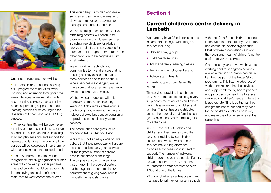

Under our proposals, there will be:

• 11 core children's centres offering a full programme of activities every morning and afternoon throughout the week. Services available will include health visiting services, stay and play, creches, parenting support and adult learning activities such as English for Speakers of Other Languages (ESOL) classes.

• 7 link centres that will be open every morning or afternoon and offer a range of children's centre activities, including stay and play sessions and support for parents and families. The offer in all the centres will be developed in partnership with parents in response to local need.

• The 18 children's centres will be reorganised into six geographical cluster areas with one lead provider per area. The lead provider would be responsible for employing one children's centre staff team to work across the cluster.

This would help us to plan and deliver services across the whole area, and allow us to make some savings to management and support costs.

We are working to ensure that all five remaining centres will continue to provide a range of children's services including free childcare for eligible two-year-olds, free nursery places for three-year-olds, support for parents and other provision to be negotiated with local partners.

We will work with schools and communities to try and ensure that no building actually closes and that as many services as possible continue. Where services are changed, we will make sure that local families are made aware of alternative services.

We believe our proposals will help to deliver on these principles, by keeping 18 children's centres across our borough and meaning we have a network of excellent centres continuing to provide sustainable early years services.

The consultation here gives you a chance to tell us what you think.

While this is not an easy decision, we believe that these proposals will ensure the best possible early years services for the highest number of children despite our financial challenge. The proposals protect the services that children in the poorest parts of our borough rely on and retain our commitment to giving every child in Lambeth the best start in life.

# Section 1

# Current children's centre delivery in Lambeth

We currently have 23 children's centres in Lambeth offering a wide range of services including:

- Stay and play groups
- Child health services
- Adult and family learning classes
- Training and employment support
- Advice appointments
- Family support from Better Start workers.

The services provided in each centre vary, with some centres offering a very full programme of activities and others having less available for children and families. The centres are distributed across the borough, and families can go to any centre. Many families go to more than one.

In 2017, over 10,000 babies and children and their families used the services provided by our children's centres, and we know that these services make a big difference, particularly to those most in need of support. The number of individual children over the year varied significantly between centres, from 300 at one of Lambeth's smaller centres to over 1,000 at one of the largest.

22 of our children's centres are run and managed by primary or nursery schools,

with one, Coin Street children's centre in the Waterloo area, run by a voluntary and community sector organisation. Most of these organisations employ their own small team of children's centre staff to deliver the service.

Over the last year or two, we have been working hard to strengthen services available through children's centres in Lambeth as part of the Better Start programme. This has included lots of work to make sure that the services and support offered by health partners, and particularly by health visitors, are delivered in children's centres where this is appropriate. This is so that families can get the health support they need for their child as locally as possible, and make use of other services at the same time.

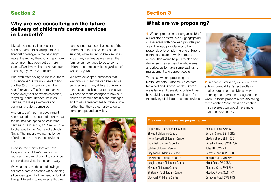## Section 2

## Why are we consulting on the future delivery of children's centre services in Lambeth?

Like all local councils across the country, Lambeth is facing a massive financial challenge. In the past eight years, the money the council gets from government has been cut by more than half and we've had to reduce our spending by over £230 million.

But, even after having to make all those cuts since 2010, we now need to find another £43m of savings over the next four years. That's more than we spend every year on waste collection, recycling, parks, libraries, children centres, roads & pavements and community safety combined.

And on top of that, the government has reduced the amount of money that the council can spend on children's centres in Lambeth by £1.4 million due to changes to the Dedicated Schools Grant. That means we can no longer afford to carry on with the service as it is.

Because the money that we have to spend on children's centres has reduced, we cannot afford to continue to provide services in the same way.

We've already made lots of savings to children's centre services while keeping all centres open. But we need to look at things differently: to make sure that we

can continue to meet the needs of the children and families who most need support, while aiming to keep services in as many centres as we can so that families can continue to go to some children's centre activities regardless of where they live.

We have developed proposals that we think will mean we can keep some services in as many different children's centres as possible, but to do this we will need to make changes to how our children's centres are run and managed, and to ask some families to travel a little further than they do currently to go to some groups and activities.



# Section 3

# What are we proposing?

1 We are proposing to reorganise 18 of our children's centres into six geographical cluster areas with one lead provider per area. The lead provider would be responsible for employing one children's centre staff team to work across the cluster. This would help us to plan and deliver services across the whole area, and allow us to make some savings to management and support costs.

The areas we are proposing are North Lambeth, Clapham, Streatham, Norwood and Brixton. As the Brixton are is large and densely populated, we have divided this into two clusters for the delivery of children's centre services.



2 In each cluster area, we would have at least one children's centre offering a full programme of activities every morning and afternoon throughout the week. In these proposals, we are calling these centres 'core' children's centres. In some areas we would have more than one core centre.

#### The core centres we are proposing are:

| Clapham Manor Children's Centre      | Belmont Close, SW4 6AT     |
|--------------------------------------|----------------------------|
| Ethelred Children's Centre           | Gundulf Street, SE11 6BG   |
| Henry Fawcett Children's Centre      | Clayton Street, SE11 5BZ   |
| <b>Hitherfield Children's Centre</b> | Hitherfield Road, SW16 2JW |
| Jubilee Children's Centre            | Tulse Hill, SW2 2JE        |
| Kingswood Children's Centre          | Bentons Lane, SE27 9UD     |
| Liz Atkinson Children's Centre       | Mostyn Road, SW9 6PH       |
| Loughborough Children's Centre       | Minet Road, SW9 7UA        |
| Maytree Children's Centre            | Clarence Cres, SW4 8LN     |
| St Stephen's Children's Centre       | Meadow Place, SW8 1XY      |
| Stockwell Children's Centre          | Burgoyne Road, SW9 9TG     |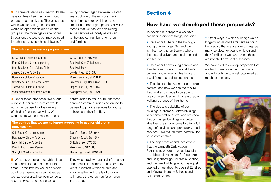3 In some cluster areas, we would also have centres offering a more limited programme of activities. These centres, which we are calling 'link' centres, would be open for children's centre groups in the mornings or afternoons throughout the week, but may be used for other services such as childcare for

young children aged between 0 and 4 years outside of these hours. Having some 'link' centres which provide a smaller number of groups and activities means that we can keep delivering some services as locally as we can to the greatest number of children and families.

#### The link centres we are proposing are:

| Crown Lane Children's Centre       | Crown Lane, SW16 3HX          |
|------------------------------------|-------------------------------|
| Effra Children's Centre (operating | Brockwell One O'clock Club,   |
| from Brockwell One o'clock Club)   | <b>Brockwell Park</b>         |
| Jessop Children's Centre           | Lowden Road, SE24 OBJ         |
| Rosendale Children's Centre        | Rosendale Road, SE21 8LR      |
| Streatham Hub Children's Centre    | Streatham High Road, SW16 6HX |
| Treehouse Children's Centre        | Upper Tulse Hill, SW2 2RW     |
| Woodmansterne Children's Centre    | Stockport Road, SW16 5XE      |

4 Under these proposals, five of our current 23 children's centres would no longer be used for the delivery of children's centre activities. We would work with our schools and our

communities to make sure that these children's centre buildings continued to be used to provide services for young children and their families.

| The centres that we are no longer proposing to use for children's<br>activities are: |                          |  |  |  |
|--------------------------------------------------------------------------------------|--------------------------|--|--|--|
| Coin Street Children's Centre                                                        | Stamford Street, SE1 9NH |  |  |  |
| <b>Heathbrook Children's Centre</b>                                                  | Smedley Street, SW4 6PH  |  |  |  |
| Lark Hall Children's Centre                                                          | St Rule Street, SW8 3EH  |  |  |  |
| Weir Link Children's Centre                                                          | Weir Road, SW12 ONU      |  |  |  |
| Sunnyhill Children's Centre                                                          | Harborough Road, SW16 2U |  |  |  |
|                                                                                      |                          |  |  |  |

5 We are proposing to establish local area boards for each of the cluster areas. These boards would be made up of local parent representatives as well as representatives from schools. health services and local charities.

They would review data and information about children's centres and other early years' provision within the area and work together with the lead provider to improve the outcomes for children in the area.

## Section 4

#### How have we developed these proposals?

To develop our proposals we have considered different things, including:

- Data about where in the borough young children aged 0-4 and their families live, and particularly where the most disadvantaged children and families live.
- Data about how young children and their families currently use children's centres, and where families typically travel from to use different centres.
- The distance between our children's centres, and how we can make sure that families continue to be able to use some services within a reasonable walking distance of their home.
- The size and suitability of our buildings. Children's Centre buildings vary considerably in size, and we know that our bigger buildings are better able than the smaller ones to offer a full range of services, and particularly health services. This makes them better suited to be core centres.
- The significant capital investment that the Lambeth Early Action Partnership programme has brought to Jubilee, Liz Atkinson, St Stephen's and Loughborough Children's Centres, and the new buildings which have just opened or are about to open at Ethelred and Maytree Nursery Schools and Children's Centres.
- Other ways in which buildings we no longer fund as children's centres could be used so that we are able to keep as many services for young children and their families as we can, even if these are not children's centre services.
- We have tried to develop proposals that are fair to families across the borough and will continue to meet local need as much as possible.

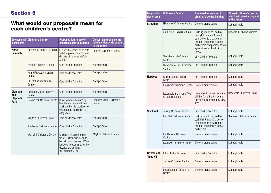# Section 5

# What would our proposals mean for each children's centre?

| Geographical<br>cluster area   | <b>Children's Centre</b>             | <b>Proposed future use of</b><br>children's centre building                                                                                                                 | <b>Closest children's centre</b><br>which will provide support<br>in the future |
|--------------------------------|--------------------------------------|-----------------------------------------------------------------------------------------------------------------------------------------------------------------------------|---------------------------------------------------------------------------------|
| <b>North</b><br><b>Lambeth</b> | <b>Coin Street Children's Centre</b> | Further discussion to be held<br>with the provider about future<br>delivery of services at Coin<br><b>Street</b>                                                            | <b>Ethelred Children's Centre</b>                                               |
|                                | <b>Ethelred Children's Centre</b>    | Core children's centre                                                                                                                                                      | Not applicable                                                                  |
|                                | Henry Fawcett Children's<br>Centre   | Core children's centre                                                                                                                                                      | Not applicable                                                                  |
|                                | St Stephen's Children's<br>Centre    | Core children's centre                                                                                                                                                      | Not applicable                                                                  |
| <b>Clapham</b><br>and          | Clapham Manor Children's<br>Centre   | Core children's centre                                                                                                                                                      | Not applicable                                                                  |
| <b>Clapham</b><br><b>Park</b>  | Heathbrook Children's Centre         | Building would be used by<br><b>Heathbrook Primary School</b><br>to strengthen its provision for<br>children and families in the<br>early years                             | Clapham Manor Children's<br>Centre                                              |
|                                | Maytree Children's Centre            | Core children's centre                                                                                                                                                      | Not applicable                                                                  |
|                                | Treehouse Children's Centre          | Core children's centre                                                                                                                                                      | Not applicable                                                                  |
|                                | Weir Link Children's Centre          | Childcare provision to con-<br>tinue. Further discussion to<br>be held with Trustees of Weir<br>Link over proposals to further<br>develop the building<br>for community use | Maytree Children's Centre                                                       |

| <b>Geographical</b><br>cluster area | <b>Children's Centre</b>                       | Proposed future use of<br>children's centre building                                                                                                                                                | <b>Closest children's centre</b><br>which will provide support<br>in the future |
|-------------------------------------|------------------------------------------------|-----------------------------------------------------------------------------------------------------------------------------------------------------------------------------------------------------|---------------------------------------------------------------------------------|
| <b>Streatham</b>                    | Hitherfield Children's Centre                  | Core children's centre                                                                                                                                                                              | Not applicable                                                                  |
|                                     | Sunnyhill Children's Centre                    | Building would be used by<br>Sunnyhill Primary School to<br>strengthen its provision for<br>children and families in the<br>early years and primary school<br>age children with additional<br>needs | <b>Hitherfield Children's Centre</b>                                            |
|                                     | Streatham Hub Children's<br>Centre             | Link children's centre                                                                                                                                                                              | Not applicable                                                                  |
|                                     | Woodmansterne Children's<br>Centre             | Link children's centre                                                                                                                                                                              | Not applicable                                                                  |
| <b>Norwood</b>                      | Crown Lane Children's<br>Centre                | Link children's centre                                                                                                                                                                              | Not applicable                                                                  |
|                                     | Kingswood Children's Centre                    | Core children's centre                                                                                                                                                                              | Not applicable                                                                  |
|                                     | Rosendale and Cherry Tree<br>Children's Centre | Rosendale to remain as a link<br>children's centre. Childcare<br>delivery to continue at Cherry<br><b>Tree</b>                                                                                      | Rosendale Children's Centre                                                     |
| <b>Stockwell</b>                    | Jessop Children's Centre                       | Link children's centre                                                                                                                                                                              | Not applicable                                                                  |
|                                     | Lark Hall Children's Centre                    | Building would be used by<br>Lark Hall Primary School to<br>strengthen its provision for<br>children and families in the<br>early years                                                             | Stockwell Children's Centre                                                     |
|                                     | Liz Atkinson Children's<br>Centre              | Core children's centre                                                                                                                                                                              | Not applicable                                                                  |
|                                     | Stockwell Children's Centre                    | Core children's centre                                                                                                                                                                              | Not applicable                                                                  |
| <b>Brixton and</b><br>Tuise Hill    | Effra Children's Centre                        | Link children's centre                                                                                                                                                                              | Not applicable                                                                  |
|                                     | Jubilee Children's Centre                      | Core children's centre                                                                                                                                                                              | Not applicable                                                                  |
|                                     | Loughborough Children's<br>Centre              | Core children's centre                                                                                                                                                                              | Not applicable                                                                  |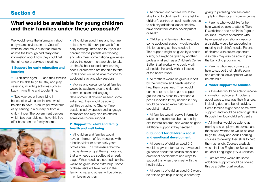# Section 6

## What would be available for young children and their families under these proposals?

We would revise the information about early years services on the Council's website, and make sure that families across the borough had really clear information about how they could get the full range of services including:

#### 1 Support for early education and learning

• All children aged 0-2 and their families would be able to go to 'stay and play' sessions, including activities such as baby rhyme time and toddler time.

• Two-year-old children living in households with a low income would be able to have 15 hours per week free early learning in a nursery or from a child-minder. The government decides which two year olds can have this free offer based on the family income.



• All children aged three and four are able to have 15 hours per week free early learning. Three and four-year-old children whose parents are working and who meet some national guidelines set by the government are able to take up the 30-hour funded early learning offer. Children who are not able to take up this offer would be able to come to additional stay and play sessions.

• Advice and guidance for all families would be available around children's communication and language development. If children needed some extra help, they would be able to get this by going to Chatter Time sessions led by speech and language therapists and may also be offered some one-to-one support.

#### 2 Support for child and family health and well being

• All children and families would have a minimum of five meetings with a health visitor or other early years professional. This will ensure that the child is developing at the right rate and that any needs are spotted at an early stage. When needs are spotted, families would be given some extra help. Some of these visits will take place in the family home, and others will be offered in children's centres.

• All children and families would be able to go to child health clinics held in children's centres or local health centres to ask any additional questions they have about their child's development or health.

• Children and families who need some additional support would receive this for as long as they needed it. This support might be given by a health visitor, but might be given by another professional such as a Children's Centre Better Start worker who could work alongside the family with or instead of the health visitor.

• All mothers would be given support by their midwife and health visitor to help them breastfeed. They would continue to be able to go to support groups led by a health visitor and a peer supporter. If they needed it, they would be offered extra help from a specialist midwife.

• All families would receive information advice and guidance about a healthy diet for their children, and would be given additional support if they needed it.

#### 3 Support for children's social and emotional development

• All parents of children aged 0-5 would be given information, advice and guidance about their child's social and emotional development and ways to support this when they meet with their health visitor.

• All parents of children aged 0-5 would be able to get help in being a parent by

going to parenting courses called Triple P in their local children's centre.

• Parents who would like further help would be able to attend Triple P workshops and / or Triple P group courses. Parents of children who have special educational needs or a disability would be supported in meeting their child's needs. Parents of children with autism spectrum disorders may also be able to join the Early Bird programme.

• Parents who need some extra help to support their child's social and emotional development would be offered it.

#### 4 Wider support for families

• All families would be able to receive information, advice and guidance about ways to manage their finances, including debt and benefit advice. Some families might need some extra support, and would be able to get this through their local children's centre.

• All families would be able to get training and employment advice, and those who wanted to would be able to go to Family and Adult Learning courses to develop their skills to help them get a job. Courses available would include English for Speakers of Other Languages (ESOL) classes.

• Families who would like some additional support would be offered this by a Better Start worker.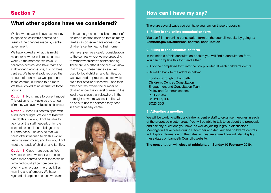## What other options have we considered?

We know that we will have less money to spend on children's centres as a result of the changes made by central government.

We have looked at what this might mean for how our children's centres work. At the moment, we have 23 children's centres, and have teams of staff working across one, two or three centres. We have already reduced the amount of money that we spend on these centres, but need to do more. We have looked at an alternative three options.

**Option 1** No change to current model. This option is not viable as the amount of money we have available has been cut.

**Option 2** Keep 23 centres open with a reduced budget. We do not think we can do this: we would not be able to pay for all the staff needed, or for the costs of using all the buildings on a full-time basis. The service that we could offer if we tried to do this would become very limited, and this would not meet the needs of children and families.

**Option 3** Close more centres. We have considered whether we should close more centres so that those which remained could all be core centres offering a full programme of activities morning and afternoon. We have rejected this option because we want

to have the greatest possible number of children's centres open so that as many families as possible have access to a children's centre near to their home.

We have given very careful consideration to the centres where we are proposing to withdraw children's centre funding. These are very difficult choices: we know that many of these centres are well used by local children and families, but we have tried to propose centres which are either smaller or less well used than other centres; where the number of children under five or level of need in the local area is less than elsewhere in the borough; or where we feel families will be able to use the services they need in another nearby centre.



# How can I have my say?

There are several ways you can have your say on these proposals:

1 Filling in the online consultation form

You can fill in an online consultation form on the council website by going to: Lambeth.gov.uk/childrens-centres-consultation

2 Filling in the consultation form

In the middle of this consultation booklet you will find a consultation form. You can complete this form and either:

- Drop the completed form into the box provided at each children's centre
- Or mail it back to the address below:

London Borough of Lambeth Children's Centres Consultation Engagement and Consultation Team Policy and Communications PO Box 734 **WINCHESTER** SO23 5DG

3 Attending a meeting

We will be working with our children's centre staff to organise meetings in each of the proposed cluster areas. You will be able to talk to us about the proposals and ask any questions you have, as well as joining in group discussions. Meetings will take place during December and January and children's centres will display information on the dates as they are agreed. We will also display these dates on Lambeth Council's website.

The consultation will close at midnight, on Sunday 10 February 2019.